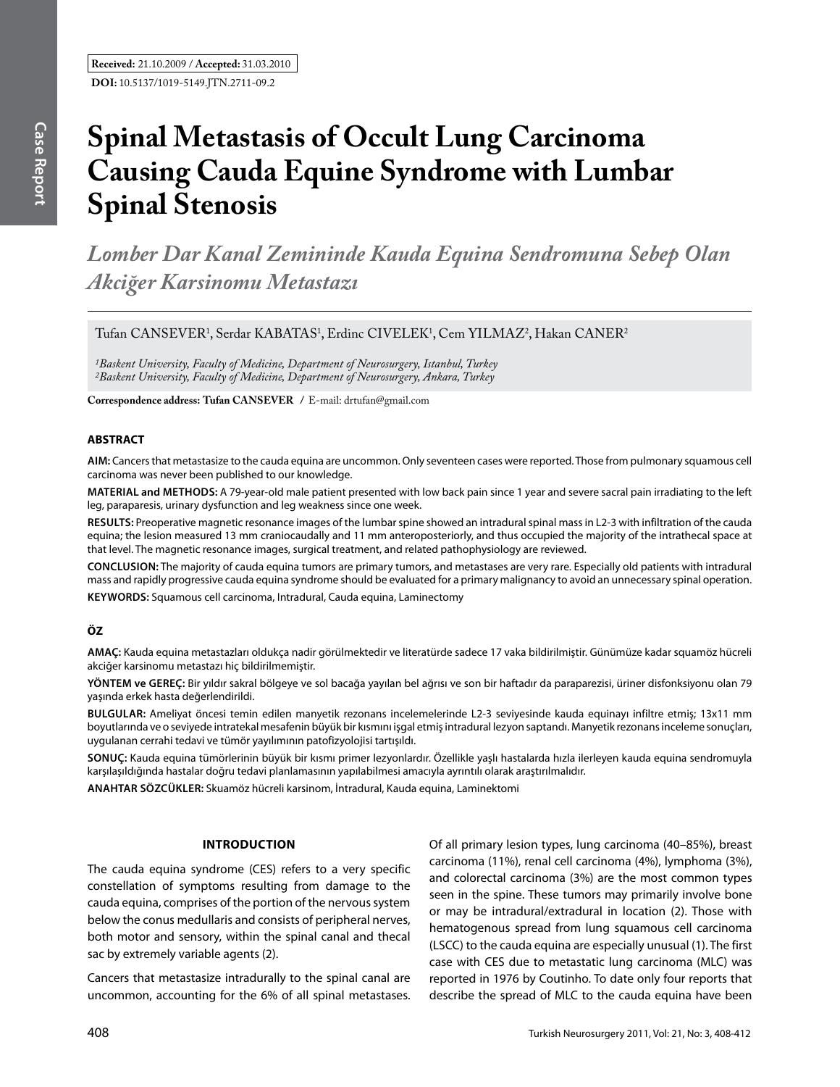# **Spinal Metastasis of Occult Lung Carcinoma Causing Cauda Equine Syndrome with Lumbar Spinal Stenosis**

*Lomber Dar Kanal Zemininde Kauda Equina Sendromuna Sebep Olan Akciğer Karsinomu Metastazı*

Tufan CANSEVER<sup>1</sup>, Serdar KABATAS<sup>1</sup>, Erdinc CIVELEK<sup>1</sup>, Cem YILMAZ<sup>2</sup>, Hakan CANER<sup>2</sup>

*1Baskent University, Faculty of Medicine, Department of Neurosurgery, Istanbul, Turkey 2Baskent University, Faculty of Medicine, Department of Neurosurgery, Ankara, Turkey*

**Correspondence address: Tufan Cansever /** E-mail: drtufan@gmail.com

#### **ABSTRACT**

**AIm:** Cancers that metastasize to the cauda equina are uncommon. Only seventeen cases were reported. Those from pulmonary squamous cell carcinoma was never been published to our knowledge.

**MaterIal and Methods:** A 79-year-old male patient presented with low back pain since 1 year and severe sacral pain irradiating to the left leg, paraparesis, urinary dysfunction and leg weakness since one week.

**Results:** Preoperative magnetic resonance images of the lumbar spine showed an intradural spinal mass in L2-3 with infiltration of the cauda equina; the lesion measured 13 mm craniocaudally and 11 mm anteroposteriorly, and thus occupied the majority of the intrathecal space at that level. The magnetic resonance images, surgical treatment, and related pathophysiology are reviewed.

**ConclusIon:** The majority of cauda equina tumors are primary tumors, and metastases are very rare. Especially old patients with intradural mass and rapidly progressive cauda equina syndrome should be evaluated for a primary malignancy to avoid an unnecessary spinal operation. **Keywords:** Squamous cell carcinoma, Intradural, Cauda equina, Laminectomy

#### **ÖZ**

**AMAÇ:** Kauda equina metastazları oldukça nadir görülmektedir ve literatürde sadece 17 vaka bildirilmiştir. Günümüze kadar squamöz hücreli akciğer karsinomu metastazı hiç bildirilmemiştir.

**YÖNTEM ve GEREÇ:** Bir yıldır sakral bölgeye ve sol bacağa yayılan bel ağrısı ve son bir haftadır da paraparezisi, üriner disfonksiyonu olan 79 yaşında erkek hasta değerlendirildi.

**BULGULAR:** Ameliyat öncesi temin edilen manyetik rezonans incelemelerinde L2-3 seviyesinde kauda equinayı infiltre etmiş; 13x11 mm boyutlarında ve o seviyede intratekal mesafenin büyük bir kısmını işgal etmiş intradural lezyon saptandı. Manyetik rezonans inceleme sonuçları, uygulanan cerrahi tedavi ve tümör yayılımının patofizyolojisi tartışıldı.

**SONUÇ:** Kauda equina tümörlerinin büyük bir kısmı primer lezyonlardır. Özellikle yaşlı hastalarda hızla ilerleyen kauda equina sendromuyla karşılaşıldığında hastalar doğru tedavi planlamasının yapılabilmesi amacıyla ayrıntılı olarak araştırılmalıdır.

**ANAHTAR SÖZCÜKLER:** Skuamöz hücreli karsinom, İntradural, Kauda equina, Laminektomi

#### **IntroductIon**

The cauda equina syndrome (CES) refers to a very specific constellation of symptoms resulting from damage to the cauda equina, comprises of the portion of the nervous system below the conus medullaris and consists of peripheral nerves, both motor and sensory, within the spinal canal and thecal sac by extremely variable agents (2).

Cancers that metastasize intradurally to the spinal canal are uncommon, accounting for the 6% of all spinal metastases. Of all primary lesion types, lung carcinoma (40–85%), breast carcinoma (11%), renal cell carcinoma (4%), lymphoma (3%), and colorectal carcinoma (3%) are the most common types seen in the spine. These tumors may primarily involve bone or may be intradural/extradural in location (2). Those with hematogenous spread from lung squamous cell carcinoma (LSCC) to the cauda equina are especially unusual (1). The first case with CES due to metastatic lung carcinoma (MLC) was reported in 1976 by Coutinho. To date only four reports that describe the spread of MLC to the cauda equina have been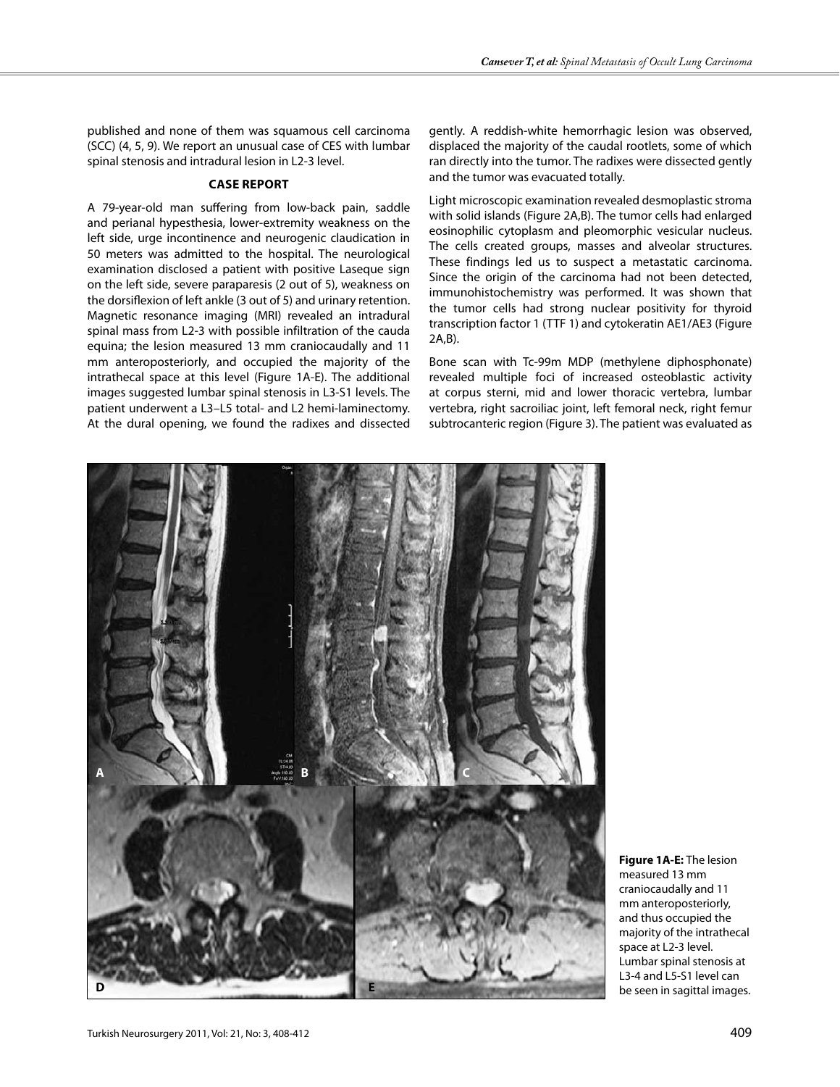published and none of them was squamous cell carcinoma (SCC) (4, 5, 9). We report an unusual case of CES with lumbar spinal stenosis and intradural lesion in L2-3 level.

#### **Case Report**

A 79-year-old man suffering from low-back pain, saddle and perianal hypesthesia, lower-extremity weakness on the left side, urge incontinence and neurogenic claudication in 50 meters was admitted to the hospital. The neurological examination disclosed a patient with positive Laseque sign on the left side, severe paraparesis (2 out of 5), weakness on the dorsiflexion of left ankle (3 out of 5) and urinary retention. Magnetic resonance imaging (MRI) revealed an intradural spinal mass from L2-3 with possible infiltration of the cauda equina; the lesion measured 13 mm craniocaudally and 11 mm anteroposteriorly, and occupied the majority of the intrathecal space at this level (Figure 1A-E). The additional images suggested lumbar spinal stenosis in L3-S1 levels. The patient underwent a L3–L5 total- and L2 hemi-laminectomy. At the dural opening, we found the radixes and dissected

gently. A reddish-white hemorrhagic lesion was observed, displaced the majority of the caudal rootlets, some of which ran directly into the tumor. The radixes were dissected gently and the tumor was evacuated totally.

Light microscopic examination revealed desmoplastic stroma with solid islands (Figure 2A,B). The tumor cells had enlarged eosinophilic cytoplasm and pleomorphic vesicular nucleus. The cells created groups, masses and alveolar structures. These findings led us to suspect a metastatic carcinoma. Since the origin of the carcinoma had not been detected, immunohistochemistry was performed. It was shown that the tumor cells had strong nuclear positivity for thyroid transcription factor 1 (TTF 1) and cytokeratin AE1/AE3 (Figure 2A,B).

Bone scan with Tc-99m MDP (methylene diphosphonate) revealed multiple foci of increased osteoblastic activity at corpus sterni, mid and lower thoracic vertebra, lumbar vertebra, right sacroiliac joint, left femoral neck, right femur subtrocanteric region (Figure 3). The patient was evaluated as



**Figure 1A-E:** The lesion measured 13 mm craniocaudally and 11 mm anteroposteriorly, and thus occupied the majority of the intrathecal space at L2-3 level. Lumbar spinal stenosis at L3-4 and L5-S1 level can be seen in sagittal images.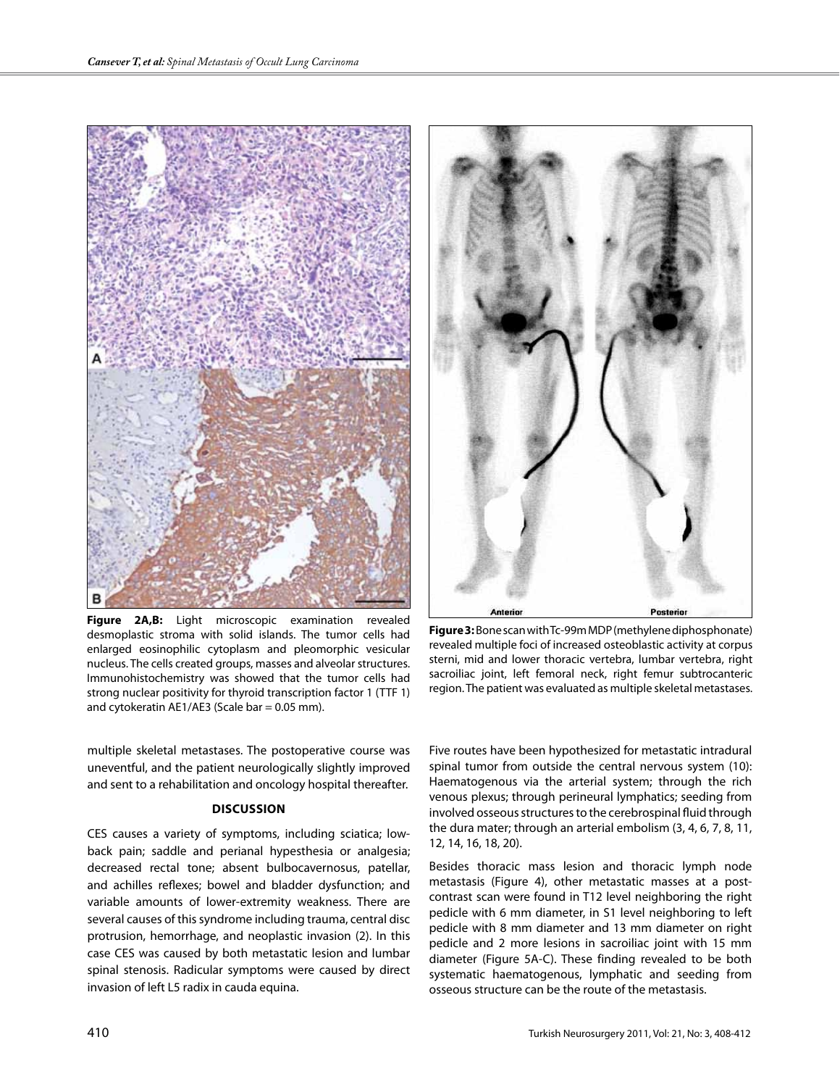





**Figure 3:** Bone scan with Tc-99m MDP (methylene diphosphonate) revealed multiple foci of increased osteoblastic activity at corpus sterni, mid and lower thoracic vertebra, lumbar vertebra, right sacroiliac joint, left femoral neck, right femur subtrocanteric region. The patient was evaluated as multiple skeletal metastases.

multiple skeletal metastases. The postoperative course was uneventful, and the patient neurologically slightly improved and sent to a rehabilitation and oncology hospital thereafter.

### **DIscussIon**

CES causes a variety of symptoms, including sciatica; lowback pain; saddle and perianal hypesthesia or analgesia; decreased rectal tone; absent bulbocavernosus, patellar, and achilles reflexes; bowel and bladder dysfunction; and variable amounts of lower-extremity weakness. There are several causes of this syndrome including trauma, central disc protrusion, hemorrhage, and neoplastic invasion (2). In this case CES was caused by both metastatic lesion and lumbar spinal stenosis. Radicular symptoms were caused by direct invasion of left L5 radix in cauda equina.

Five routes have been hypothesized for metastatic intradural spinal tumor from outside the central nervous system (10): Haematogenous via the arterial system; through the rich venous plexus; through perineural lymphatics; seeding from involved osseous structures to the cerebrospinal fluid through the dura mater; through an arterial embolism (3, 4, 6, 7, 8, 11, 12, 14, 16, 18, 20).

Besides thoracic mass lesion and thoracic lymph node metastasis (Figure 4), other metastatic masses at a postcontrast scan were found in T12 level neighboring the right pedicle with 6 mm diameter, in S1 level neighboring to left pedicle with 8 mm diameter and 13 mm diameter on right pedicle and 2 more lesions in sacroiliac joint with 15 mm diameter (Figure 5A-C). These finding revealed to be both systematic haematogenous, lymphatic and seeding from osseous structure can be the route of the metastasis.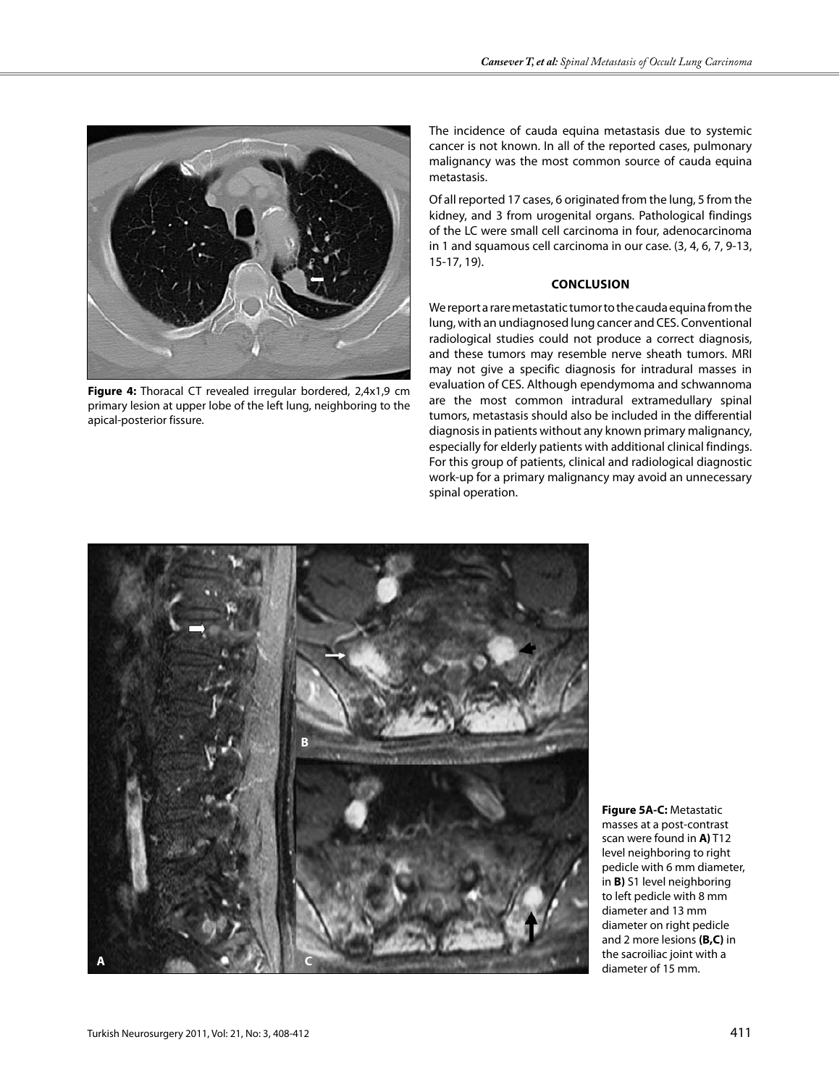

Figure 4: Thoracal CT revealed irregular bordered, 2,4x1,9 cm primary lesion at upper lobe of the left lung, neighboring to the apical-posterior fissure.

The incidence of cauda equina metastasis due to systemic cancer is not known. In all of the reported cases, pulmonary malignancy was the most common source of cauda equina metastasis.

Of all reported 17 cases, 6 originated from the lung, 5 from the kidney, and 3 from urogenital organs. Pathological findings of the LC were small cell carcinoma in four, adenocarcinoma in 1 and squamous cell carcinoma in our case. (3, 4, 6, 7, 9-13, 15-17, 19).

## **ConclusIon**

We report a rare metastatic tumor to the cauda equina from the lung, with an undiagnosed lung cancer and CES. Conventional radiological studies could not produce a correct diagnosis, and these tumors may resemble nerve sheath tumors. MRI may not give a specific diagnosis for intradural masses in evaluation of CES. Although ependymoma and schwannoma are the most common intradural extramedullary spinal tumors, metastasis should also be included in the differential diagnosis in patients without any known primary malignancy, especially for elderly patients with additional clinical findings. For this group of patients, clinical and radiological diagnostic work-up for a primary malignancy may avoid an unnecessary spinal operation.



**Figure 5A-C:** Metastatic masses at a post-contrast scan were found in **A)** T12 level neighboring to right pedicle with 6 mm diameter, in **B)** S1 level neighboring to left pedicle with 8 mm diameter and 13 mm diameter on right pedicle and 2 more lesions **(B,C)** in the sacroiliac joint with a